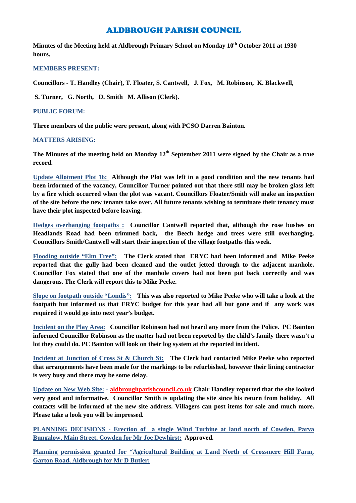# ALDBROUGH PARISH COUNCIL

**Minutes of the Meeting held at Aldbrough Primary School on Monday 10 th October 2011 at 1930 hours.**

# **MEMBERS PRESENT:**

**Councillors - T. Handley (Chair), T. Floater, S. Cantwell, J. Fox, M. Robinson, K. Blackwell,**

**S. Turner, G. North, D. Smith M. Allison (Clerk).**

### **PUBLIC FORUM:**

**Three members of the public were present, along with PCSO Darren Bainton.**

#### **MATTERS ARISING:**

**The Minutes of the meeting held on Monday 12th September 2011 were signed by the Chair as a true record.**

**Update Allotment Plot 16: Although the Plot was left in a good condition and the new tenants had been informed of the vacancy, Councillor Turner pointed out that there still may be broken glass left by a fire which occurred when the plot was vacant. Councillors Floater/Smith will make an inspection of the site before the new tenants take over. All future tenants wishing to terminate their tenancy must have their plot inspected before leaving.**

**Hedges overhanging footpaths : Councillor Cantwell reported that, although the rose bushes on Headlands Road had been trimmed back, the Beech hedge and trees were still overhanging. Councillors Smith/Cantwell will start their inspection of the village footpaths this week.**

**Flooding outside "Elm Tree": The Clerk stated that ERYC had been informed and Mike Peeke reported that the gully had been cleaned and the outlet jetted through to the adjacent manhole. Councillor Fox stated that one of the manhole covers had not been put back correctly and was dangerous. The Clerk will report this to Mike Peeke.**

**Slope on footpath outside "Londis": This was also reported to Mike Peeke who will take a look at the footpath but informed us that ERYC budget for this year had all but gone and if any work was required it would go into next year's budget.**

**Incident on the Play Area: Councillor Robinson had not heard any more from the Police. PC Bainton informed Councillor Robinson as the matter had not been reported by the child's family there wasn't a lot they could do. PC Bainton will look on their log system at the reported incident.**

**Incident at Junction of Cross St & Church St: The Clerk had contacted Mike Peeke who reported that arrangements have been made for the markings to be refurbished, however their lining contractor is very busy and there may be some delay.**

**Update on New Web Site: - aldbroughparishcouncil.co.uk Chair Handley reported that the site looked very good and informative. Councillor Smith is updating the site since his return from holiday. All contacts will be informed of the new site address. Villagers can post items for sale and much more. Please take a look you will be impressed.**

**PLANNING DECISIONS - Erection of a single Wind Turbine at land north of Cowden, Parva Bungalow, Main Street, Cowden for Mr Joe Dewhirst: Approved.**

**Planning permission granted for "Agricultural Building at Land North of Crossmere Hill Farm, Garton Road, Aldbrough for Mr D Butler:**